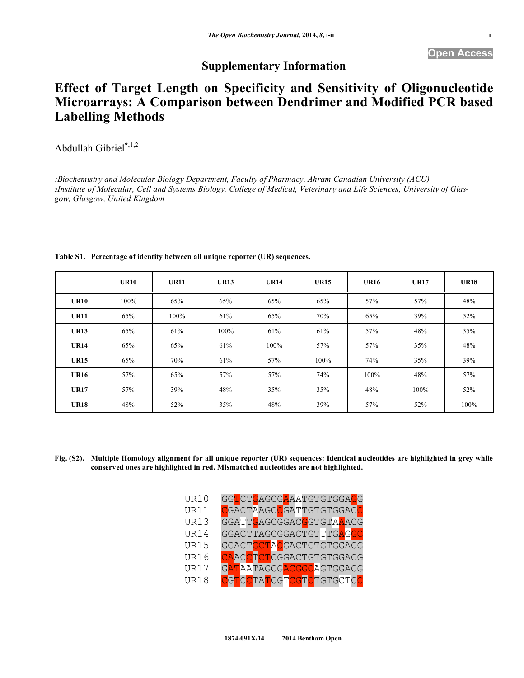## **Supplementary Information**

## **Effect of Target Length on Specificity and Sensitivity of Oligonucleotide Microarrays: A Comparison between Dendrimer and Modified PCR based Labelling Methods**

Abdullah Gibriel**\***,1,2

*1Biochemistry and Molecular Biology Department, Faculty of Pharmacy, Ahram Canadian University (ACU) 2Institute of Molecular, Cell and Systems Biology, College of Medical, Veterinary and Life Sciences, University of Glasgow, Glasgow, United Kingdom* 

|             | <b>UR10</b> | <b>UR11</b> | <b>UR13</b> | <b>UR14</b> | <b>UR15</b> | <b>UR16</b> | <b>UR17</b> | <b>UR18</b> |
|-------------|-------------|-------------|-------------|-------------|-------------|-------------|-------------|-------------|
| <b>UR10</b> | 100%        | 65%         | 65%         | 65%         | 65%         | 57%         | 57%         | 48%         |
| <b>UR11</b> | 65%         | 100%        | 61%         | 65%         | 70%         | 65%         | 39%         | 52%         |
| <b>UR13</b> | 65%         | 61%         | 100%        | 61%         | 61%         | 57%         | 48%         | 35%         |
| <b>UR14</b> | 65%         | 65%         | 61%         | 100%        | 57%         | 57%         | 35%         | 48%         |
| <b>UR15</b> | 65%         | 70%         | 61%         | 57%         | 100%        | 74%         | 35%         | 39%         |
| <b>UR16</b> | 57%         | 65%         | 57%         | 57%         | 74%         | 100%        | 48%         | 57%         |
| <b>UR17</b> | 57%         | 39%         | 48%         | 35%         | 35%         | 48%         | 100%        | 52%         |
| <b>UR18</b> | 48%         | 52%         | 35%         | 48%         | 39%         | 57%         | 52%         | 100%        |

## **Table S1. Percentage of identity between all unique reporter (UR) sequences.**

**Fig. (S2). Multiple Homology alignment for all unique reporter (UR) sequences: Identical nucleotides are highlighted in grey while conserved ones are highlighted in red. Mismatched nucleotides are not highlighted.** 

| <b>UR10</b> | GGTCTGAGCGAAATGTGTGGAGG |
|-------------|-------------------------|
| <b>UR11</b> | CGACTAAGCCGATTGTGTGGACC |
| <b>UR13</b> | GGATTCAGCGGACCGTGTAAACG |
| <b>UR14</b> | GGACTTAGCGGACTGTTTGAGGC |
| <b>UR15</b> | GGACTGCTACGACTGTGTGGACG |
| <b>UR16</b> | CAACCTCTCGGACTGTGTGGACG |
| <b>UR17</b> | GATAATAGCGACGGCAGTGGACG |
| <b>UR18</b> | CGTCCTATCGTCGTCTGTGCTCC |
|             |                         |